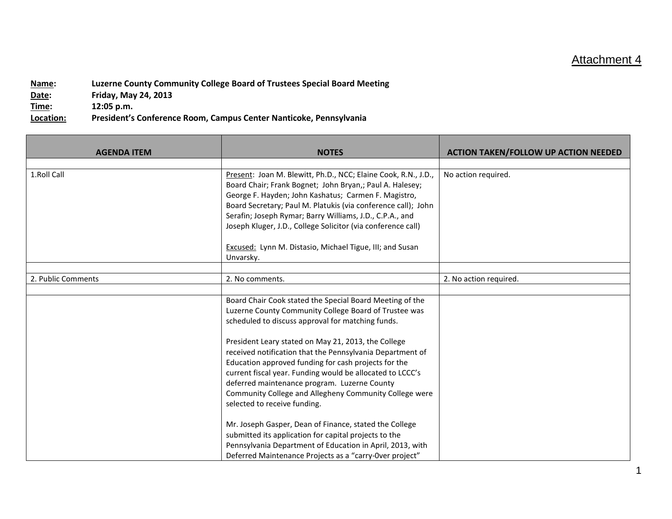## Attachment 4

**Name: Luzerne County Community College Board of Trustees Special Board Meeting Date: Friday, May 24, 2013 Time: 12:05 p.m. Location: President's Conference Room, Campus Center Nanticoke, Pennsylvania**

| <b>AGENDA ITEM</b> | <b>NOTES</b>                                                                 | <b>ACTION TAKEN/FOLLOW UP ACTION NEEDED</b> |
|--------------------|------------------------------------------------------------------------------|---------------------------------------------|
|                    |                                                                              |                                             |
| 1.Roll Call        | Present: Joan M. Blewitt, Ph.D., NCC; Elaine Cook, R.N., J.D.,               | No action required.                         |
|                    | Board Chair; Frank Bognet; John Bryan,; Paul A. Halesey;                     |                                             |
|                    | George F. Hayden; John Kashatus; Carmen F. Magistro,                         |                                             |
|                    | Board Secretary; Paul M. Platukis (via conference call); John                |                                             |
|                    | Serafin; Joseph Rymar; Barry Williams, J.D., C.P.A., and                     |                                             |
|                    | Joseph Kluger, J.D., College Solicitor (via conference call)                 |                                             |
|                    | <b>Excused: Lynn M. Distasio, Michael Tigue, III; and Susan</b><br>Unvarsky. |                                             |
|                    |                                                                              |                                             |
| 2. Public Comments | 2. No comments.                                                              | 2. No action required.                      |
|                    |                                                                              |                                             |
|                    | Board Chair Cook stated the Special Board Meeting of the                     |                                             |
|                    | Luzerne County Community College Board of Trustee was                        |                                             |
|                    | scheduled to discuss approval for matching funds.                            |                                             |
|                    | President Leary stated on May 21, 2013, the College                          |                                             |
|                    | received notification that the Pennsylvania Department of                    |                                             |
|                    | Education approved funding for cash projects for the                         |                                             |
|                    | current fiscal year. Funding would be allocated to LCCC's                    |                                             |
|                    | deferred maintenance program. Luzerne County                                 |                                             |
|                    | Community College and Allegheny Community College were                       |                                             |
|                    | selected to receive funding.                                                 |                                             |
|                    |                                                                              |                                             |
|                    | Mr. Joseph Gasper, Dean of Finance, stated the College                       |                                             |
|                    | submitted its application for capital projects to the                        |                                             |
|                    | Pennsylvania Department of Education in April, 2013, with                    |                                             |
|                    | Deferred Maintenance Projects as a "carry-Over project"                      |                                             |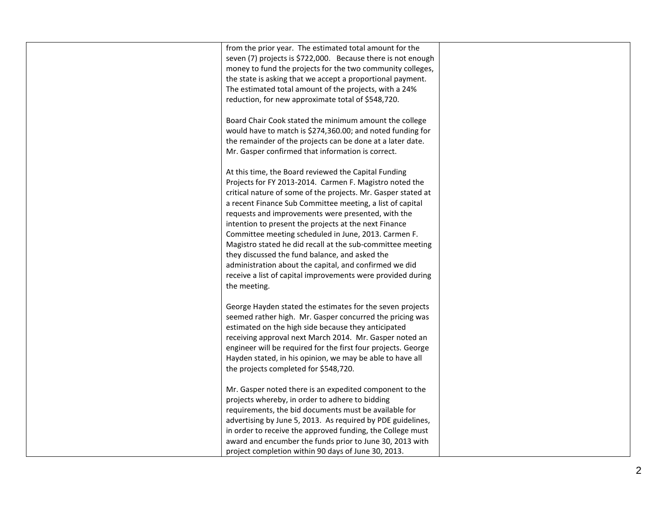| from the prior year. The estimated total amount for the<br>seven (7) projects is \$722,000. Because there is not enough<br>money to fund the projects for the two community colleges,<br>the state is asking that we accept a proportional payment.<br>The estimated total amount of the projects, with a 24%<br>reduction, for new approximate total of \$548,720.                                                                                                                                                                                                                                                                                                           |  |
|-------------------------------------------------------------------------------------------------------------------------------------------------------------------------------------------------------------------------------------------------------------------------------------------------------------------------------------------------------------------------------------------------------------------------------------------------------------------------------------------------------------------------------------------------------------------------------------------------------------------------------------------------------------------------------|--|
| Board Chair Cook stated the minimum amount the college<br>would have to match is \$274,360.00; and noted funding for<br>the remainder of the projects can be done at a later date.<br>Mr. Gasper confirmed that information is correct.                                                                                                                                                                                                                                                                                                                                                                                                                                       |  |
| At this time, the Board reviewed the Capital Funding<br>Projects for FY 2013-2014. Carmen F. Magistro noted the<br>critical nature of some of the projects. Mr. Gasper stated at<br>a recent Finance Sub Committee meeting, a list of capital<br>requests and improvements were presented, with the<br>intention to present the projects at the next Finance<br>Committee meeting scheduled in June, 2013. Carmen F.<br>Magistro stated he did recall at the sub-committee meeting<br>they discussed the fund balance, and asked the<br>administration about the capital, and confirmed we did<br>receive a list of capital improvements were provided during<br>the meeting. |  |
| George Hayden stated the estimates for the seven projects<br>seemed rather high. Mr. Gasper concurred the pricing was<br>estimated on the high side because they anticipated<br>receiving approval next March 2014. Mr. Gasper noted an<br>engineer will be required for the first four projects. George<br>Hayden stated, in his opinion, we may be able to have all<br>the projects completed for \$548,720.                                                                                                                                                                                                                                                                |  |
| Mr. Gasper noted there is an expedited component to the<br>projects whereby, in order to adhere to bidding<br>requirements, the bid documents must be available for<br>advertising by June 5, 2013. As required by PDE guidelines,<br>in order to receive the approved funding, the College must<br>award and encumber the funds prior to June 30, 2013 with<br>project completion within 90 days of June 30, 2013.                                                                                                                                                                                                                                                           |  |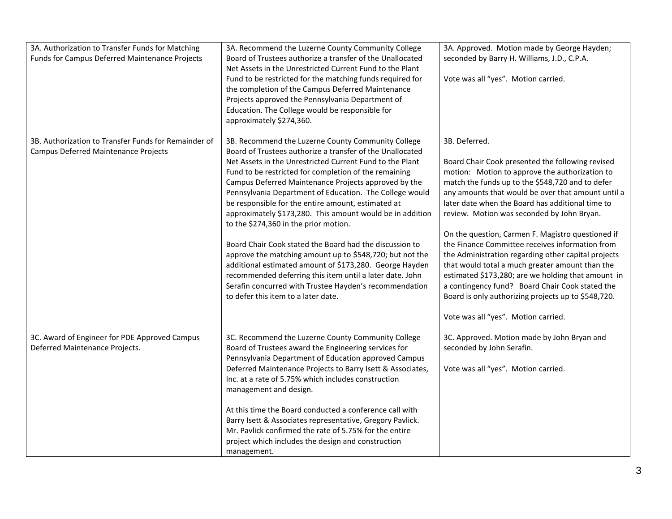| 3A. Authorization to Transfer Funds for Matching     | 3A. Recommend the Luzerne County Community College                                            | 3A. Approved. Motion made by George Hayden;         |
|------------------------------------------------------|-----------------------------------------------------------------------------------------------|-----------------------------------------------------|
| Funds for Campus Deferred Maintenance Projects       | Board of Trustees authorize a transfer of the Unallocated                                     | seconded by Barry H. Williams, J.D., C.P.A.         |
|                                                      | Net Assets in the Unrestricted Current Fund to the Plant                                      |                                                     |
|                                                      | Fund to be restricted for the matching funds required for                                     | Vote was all "yes". Motion carried.                 |
|                                                      | the completion of the Campus Deferred Maintenance                                             |                                                     |
|                                                      | Projects approved the Pennsylvania Department of                                              |                                                     |
|                                                      | Education. The College would be responsible for                                               |                                                     |
|                                                      | approximately \$274,360.                                                                      |                                                     |
| 3B. Authorization to Transfer Funds for Remainder of | 3B. Recommend the Luzerne County Community College                                            | 3B. Deferred.                                       |
| Campus Deferred Maintenance Projects                 | Board of Trustees authorize a transfer of the Unallocated                                     |                                                     |
|                                                      | Net Assets in the Unrestricted Current Fund to the Plant                                      | Board Chair Cook presented the following revised    |
|                                                      | Fund to be restricted for completion of the remaining                                         | motion: Motion to approve the authorization to      |
|                                                      | Campus Deferred Maintenance Projects approved by the                                          | match the funds up to the \$548,720 and to defer    |
|                                                      | Pennsylvania Department of Education. The College would                                       | any amounts that would be over that amount until a  |
|                                                      | be responsible for the entire amount, estimated at                                            | later date when the Board has additional time to    |
|                                                      | approximately \$173,280. This amount would be in addition                                     | review. Motion was seconded by John Bryan.          |
|                                                      | to the \$274,360 in the prior motion.                                                         |                                                     |
|                                                      |                                                                                               | On the question, Carmen F. Magistro questioned if   |
|                                                      | Board Chair Cook stated the Board had the discussion to                                       | the Finance Committee receives information from     |
|                                                      | approve the matching amount up to \$548,720; but not the                                      | the Administration regarding other capital projects |
|                                                      | additional estimated amount of \$173,280. George Hayden                                       | that would total a much greater amount than the     |
|                                                      | recommended deferring this item until a later date. John                                      | estimated \$173,280; are we holding that amount in  |
|                                                      | Serafin concurred with Trustee Hayden's recommendation<br>to defer this item to a later date. | a contingency fund? Board Chair Cook stated the     |
|                                                      |                                                                                               | Board is only authorizing projects up to \$548,720. |
|                                                      |                                                                                               | Vote was all "yes". Motion carried.                 |
| 3C. Award of Engineer for PDE Approved Campus        | 3C. Recommend the Luzerne County Community College                                            | 3C. Approved. Motion made by John Bryan and         |
| Deferred Maintenance Projects.                       | Board of Trustees award the Engineering services for                                          | seconded by John Serafin.                           |
|                                                      | Pennsylvania Department of Education approved Campus                                          |                                                     |
|                                                      | Deferred Maintenance Projects to Barry Isett & Associates,                                    | Vote was all "yes". Motion carried.                 |
|                                                      | Inc. at a rate of 5.75% which includes construction                                           |                                                     |
|                                                      | management and design.                                                                        |                                                     |
|                                                      | At this time the Board conducted a conference call with                                       |                                                     |
|                                                      | Barry Isett & Associates representative, Gregory Pavlick.                                     |                                                     |
|                                                      | Mr. Pavlick confirmed the rate of 5.75% for the entire                                        |                                                     |
|                                                      | project which includes the design and construction                                            |                                                     |
|                                                      | management.                                                                                   |                                                     |